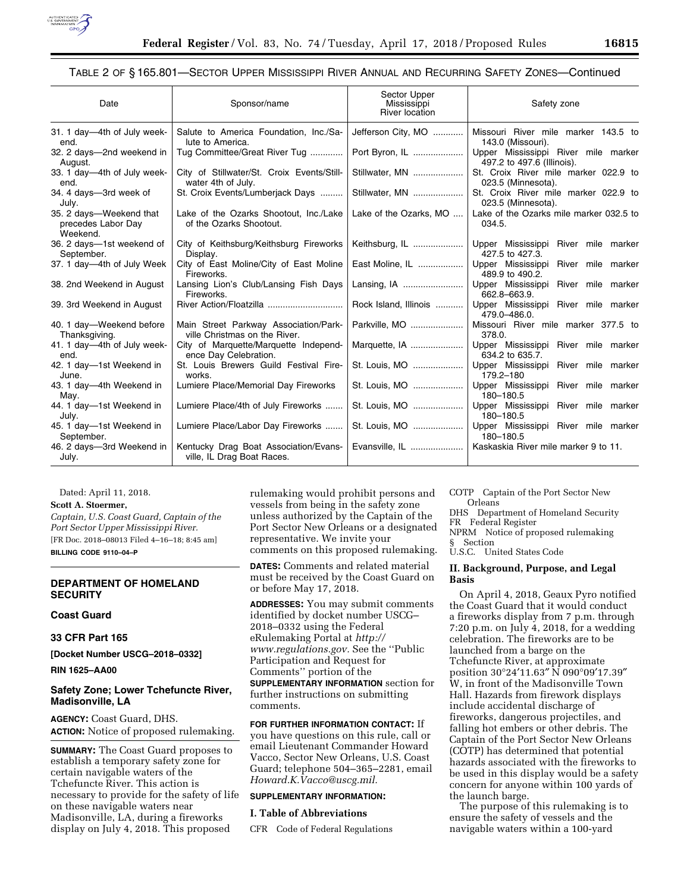

# TABLE 2 OF § 165.801—SECTOR UPPER MISSISSIPPI RIVER ANNUAL AND RECURRING SAFETY ZONES—Continued

| Date                                                      | Sponsor/name                                                           | Sector Upper<br>Mississippi<br><b>River location</b> | Safety zone                                                       |
|-----------------------------------------------------------|------------------------------------------------------------------------|------------------------------------------------------|-------------------------------------------------------------------|
| 31. 1 day-4th of July week-<br>end.                       | Salute to America Foundation, Inc./Sa-<br>lute to America.             | Jefferson City, MO                                   | Missouri River mile marker 143.5 to<br>143.0 (Missouri).          |
| 32. 2 days-2nd weekend in<br>August.                      | Tug Committee/Great River Tug                                          | Port Byron, IL                                       | Upper Mississippi River mile marker<br>497.2 to 497.6 (Illinois). |
| 33. 1 day-4th of July week-<br>end.                       | City of Stillwater/St. Croix Events/Still-<br>water 4th of July.       | Stillwater, MN                                       | St. Croix River mile marker 022.9 to<br>023.5 (Minnesota).        |
| 34. 4 days-3rd week of<br>July.                           | St. Croix Events/Lumberjack Days                                       | Stillwater, MN                                       | St. Croix River mile marker 022.9 to<br>023.5 (Minnesota).        |
| 35. 2 days—Weekend that<br>precedes Labor Day<br>Weekend. | Lake of the Ozarks Shootout, Inc./Lake<br>of the Ozarks Shootout.      | Lake of the Ozarks, MO                               | Lake of the Ozarks mile marker 032.5 to<br>034.5.                 |
| 36. 2 days-1st weekend of<br>September.                   | City of Keithsburg/Keithsburg Fireworks<br>Display.                    | Keithsburg, IL                                       | Upper Mississippi River mile marker<br>427.5 to 427.3.            |
| 37. 1 day-4th of July Week                                | City of East Moline/City of East Moline<br>Fireworks.                  | East Moline, IL                                      | Upper Mississippi River mile marker<br>489.9 to 490.2.            |
| 38. 2nd Weekend in August                                 | Lansing Lion's Club/Lansing Fish Days<br>Fireworks.                    | Lansing, IA                                          | Upper Mississippi River mile marker<br>662.8-663.9.               |
| 39. 3rd Weekend in August                                 |                                                                        | Rock Island, Illinois                                | Upper Mississippi River mile marker<br>479.0-486.0.               |
| 40. 1 day-Weekend before<br>Thanksgiving.                 | Main Street Parkway Association/Park-<br>ville Christmas on the River. | Parkville, MO                                        | Missouri River mile marker 377.5 to<br>378.0.                     |
| 41. 1 day-4th of July week-<br>end.                       | City of Marquette/Marquette Independ-<br>ence Day Celebration.         | Marquette, IA                                        | Upper Mississippi River mile marker<br>634.2 to 635.7.            |
| 42. 1 day-1st Weekend in<br>June.                         | St. Louis Brewers Guild Festival Fire-<br>works.                       | St. Louis, MO                                        | Upper Mississippi River mile marker<br>179.2-180                  |
| 43. 1 day-4th Weekend in<br>May.                          | Lumiere Place/Memorial Day Fireworks                                   | St. Louis, MO                                        | Upper Mississippi River mile marker<br>180-180.5                  |
| 44. 1 day-1st Weekend in<br>July.                         | Lumiere Place/4th of July Fireworks                                    | St. Louis, MO                                        | Upper Mississippi River mile marker<br>180-180.5                  |
| 45. 1 day-1st Weekend in<br>September.                    | Lumiere Place/Labor Day Fireworks                                      | St. Louis, MO                                        | Upper Mississippi River mile marker<br>180-180.5                  |
| 46. 2 days-3rd Weekend in<br>July.                        | Kentucky Drag Boat Association/Evans-<br>ville, IL Drag Boat Races.    | Evansville, IL                                       | Kaskaskia River mile marker 9 to 11.                              |

Dated: April 11, 2018.

#### **Scott A. Stoermer,**

*Captain, U.S. Coast Guard, Captain of the Port Sector Upper Mississippi River.*  [FR Doc. 2018–08013 Filed 4–16–18; 8:45 am] **BILLING CODE 9110–04–P** 

### **DEPARTMENT OF HOMELAND SECURITY**

### **Coast Guard**

## **33 CFR Part 165**

**[Docket Number USCG–2018–0332]** 

**RIN 1625–AA00** 

# **Safety Zone; Lower Tchefuncte River, Madisonville, LA**

**AGENCY:** Coast Guard, DHS. **ACTION:** Notice of proposed rulemaking.

**SUMMARY:** The Coast Guard proposes to establish a temporary safety zone for certain navigable waters of the Tchefuncte River. This action is necessary to provide for the safety of life on these navigable waters near Madisonville, LA, during a fireworks display on July 4, 2018. This proposed

rulemaking would prohibit persons and vessels from being in the safety zone unless authorized by the Captain of the Port Sector New Orleans or a designated representative. We invite your comments on this proposed rulemaking.

**DATES:** Comments and related material must be received by the Coast Guard on or before May 17, 2018.

**ADDRESSES:** You may submit comments identified by docket number USCG– 2018–0332 using the Federal eRulemaking Portal at *[http://](http://www.regulations.gov) [www.regulations.gov.](http://www.regulations.gov)* See the ''Public Participation and Request for Comments'' portion of the

**SUPPLEMENTARY INFORMATION** section for further instructions on submitting comments.

**FOR FURTHER INFORMATION CONTACT:** If you have questions on this rule, call or email Lieutenant Commander Howard Vacco, Sector New Orleans, U.S. Coast Guard; telephone 504–365–2281, email *[Howard.K.Vacco@uscg.mil.](mailto:Howard.K.Vacco@uscg.mil)* 

#### **SUPPLEMENTARY INFORMATION:**

## **I. Table of Abbreviations**

CFR Code of Federal Regulations

COTP Captain of the Port Sector New Orleans

DHS Department of Homeland Security FR Federal Register

NPRM Notice of proposed rulemaking § Section

U.S.C. United States Code

## **II. Background, Purpose, and Legal Basis**

On April 4, 2018, Geaux Pyro notified the Coast Guard that it would conduct a fireworks display from 7 p.m. through 7:20 p.m. on July 4, 2018, for a wedding celebration. The fireworks are to be launched from a barge on the Tchefuncte River, at approximate position 30°24′11.63″ N 090°09′17.39″ W, in front of the Madisonville Town Hall. Hazards from firework displays include accidental discharge of fireworks, dangerous projectiles, and falling hot embers or other debris. The Captain of the Port Sector New Orleans (COTP) has determined that potential hazards associated with the fireworks to be used in this display would be a safety concern for anyone within 100 yards of the launch barge.

The purpose of this rulemaking is to ensure the safety of vessels and the navigable waters within a 100-yard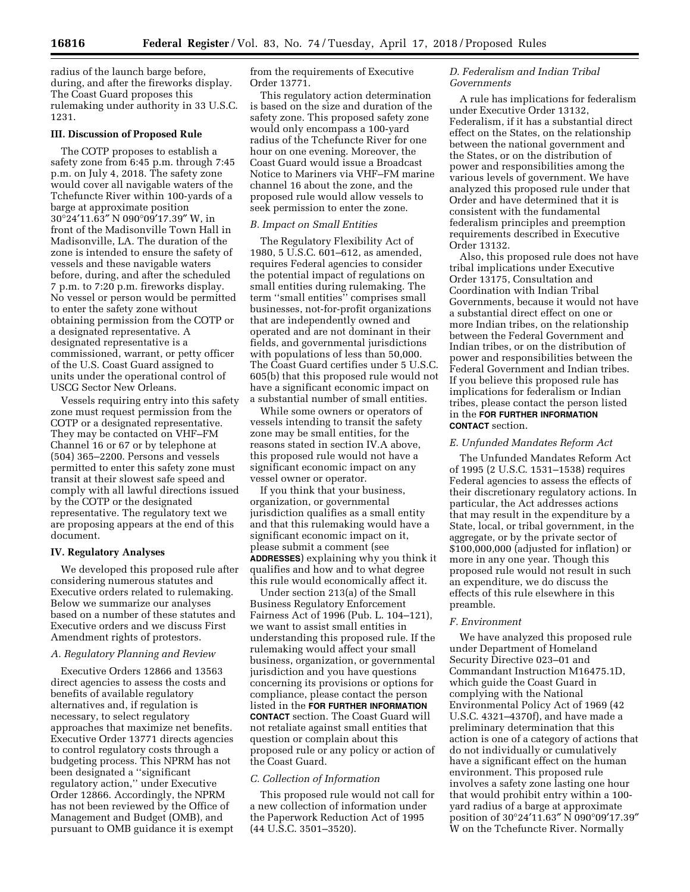radius of the launch barge before, during, and after the fireworks display. The Coast Guard proposes this rulemaking under authority in 33 U.S.C. 1231.

## **III. Discussion of Proposed Rule**

The COTP proposes to establish a safety zone from 6:45 p.m. through 7:45 p.m. on July 4, 2018. The safety zone would cover all navigable waters of the Tchefuncte River within 100-yards of a barge at approximate position 30°24′11.63″ N 090°09′17.39″ W, in front of the Madisonville Town Hall in Madisonville, LA. The duration of the zone is intended to ensure the safety of vessels and these navigable waters before, during, and after the scheduled 7 p.m. to 7:20 p.m. fireworks display. No vessel or person would be permitted to enter the safety zone without obtaining permission from the COTP or a designated representative. A designated representative is a commissioned, warrant, or petty officer of the U.S. Coast Guard assigned to units under the operational control of USCG Sector New Orleans.

Vessels requiring entry into this safety zone must request permission from the COTP or a designated representative. They may be contacted on VHF–FM Channel 16 or 67 or by telephone at (504) 365–2200. Persons and vessels permitted to enter this safety zone must transit at their slowest safe speed and comply with all lawful directions issued by the COTP or the designated representative. The regulatory text we are proposing appears at the end of this document.

## **IV. Regulatory Analyses**

We developed this proposed rule after considering numerous statutes and Executive orders related to rulemaking. Below we summarize our analyses based on a number of these statutes and Executive orders and we discuss First Amendment rights of protestors.

## *A. Regulatory Planning and Review*

Executive Orders 12866 and 13563 direct agencies to assess the costs and benefits of available regulatory alternatives and, if regulation is necessary, to select regulatory approaches that maximize net benefits. Executive Order 13771 directs agencies to control regulatory costs through a budgeting process. This NPRM has not been designated a ''significant regulatory action,'' under Executive Order 12866. Accordingly, the NPRM has not been reviewed by the Office of Management and Budget (OMB), and pursuant to OMB guidance it is exempt from the requirements of Executive Order 13771.

This regulatory action determination is based on the size and duration of the safety zone. This proposed safety zone would only encompass a 100-yard radius of the Tchefuncte River for one hour on one evening. Moreover, the Coast Guard would issue a Broadcast Notice to Mariners via VHF–FM marine channel 16 about the zone, and the proposed rule would allow vessels to seek permission to enter the zone.

#### *B. Impact on Small Entities*

The Regulatory Flexibility Act of 1980, 5 U.S.C. 601–612, as amended, requires Federal agencies to consider the potential impact of regulations on small entities during rulemaking. The term ''small entities'' comprises small businesses, not-for-profit organizations that are independently owned and operated and are not dominant in their fields, and governmental jurisdictions with populations of less than 50,000. The Coast Guard certifies under 5 U.S.C. 605(b) that this proposed rule would not have a significant economic impact on a substantial number of small entities.

While some owners or operators of vessels intending to transit the safety zone may be small entities, for the reasons stated in section IV.A above, this proposed rule would not have a significant economic impact on any vessel owner or operator.

If you think that your business, organization, or governmental jurisdiction qualifies as a small entity and that this rulemaking would have a significant economic impact on it, please submit a comment (see **ADDRESSES**) explaining why you think it qualifies and how and to what degree this rule would economically affect it.

Under section 213(a) of the Small Business Regulatory Enforcement Fairness Act of 1996 (Pub. L. 104–121), we want to assist small entities in understanding this proposed rule. If the rulemaking would affect your small business, organization, or governmental jurisdiction and you have questions concerning its provisions or options for compliance, please contact the person listed in the **FOR FURTHER INFORMATION CONTACT** section. The Coast Guard will not retaliate against small entities that question or complain about this proposed rule or any policy or action of the Coast Guard.

#### *C. Collection of Information*

This proposed rule would not call for a new collection of information under the Paperwork Reduction Act of 1995 (44 U.S.C. 3501–3520).

## *D. Federalism and Indian Tribal Governments*

A rule has implications for federalism under Executive Order 13132, Federalism, if it has a substantial direct effect on the States, on the relationship between the national government and the States, or on the distribution of power and responsibilities among the various levels of government. We have analyzed this proposed rule under that Order and have determined that it is consistent with the fundamental federalism principles and preemption requirements described in Executive Order 13132.

Also, this proposed rule does not have tribal implications under Executive Order 13175, Consultation and Coordination with Indian Tribal Governments, because it would not have a substantial direct effect on one or more Indian tribes, on the relationship between the Federal Government and Indian tribes, or on the distribution of power and responsibilities between the Federal Government and Indian tribes. If you believe this proposed rule has implications for federalism or Indian tribes, please contact the person listed in the **FOR FURTHER INFORMATION CONTACT** section.

#### *E. Unfunded Mandates Reform Act*

The Unfunded Mandates Reform Act of 1995 (2 U.S.C. 1531–1538) requires Federal agencies to assess the effects of their discretionary regulatory actions. In particular, the Act addresses actions that may result in the expenditure by a State, local, or tribal government, in the aggregate, or by the private sector of \$100,000,000 (adjusted for inflation) or more in any one year. Though this proposed rule would not result in such an expenditure, we do discuss the effects of this rule elsewhere in this preamble.

#### *F. Environment*

We have analyzed this proposed rule under Department of Homeland Security Directive 023–01 and Commandant Instruction M16475.1D, which guide the Coast Guard in complying with the National Environmental Policy Act of 1969 (42 U.S.C. 4321–4370f), and have made a preliminary determination that this action is one of a category of actions that do not individually or cumulatively have a significant effect on the human environment. This proposed rule involves a safety zone lasting one hour that would prohibit entry within a 100 yard radius of a barge at approximate position of 30°24′11.63″ N 090°09′17.39″ W on the Tchefuncte River. Normally